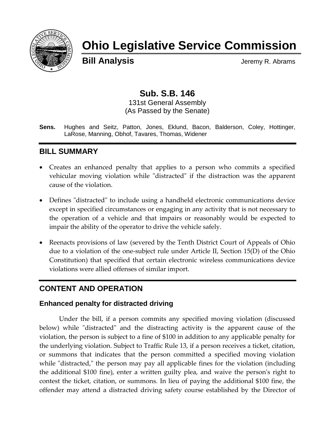

# **Ohio Legislative Service Commission**

**Bill Analysis** Jeremy R. Abrams

# **Sub. S.B. 146**

131st General Assembly (As Passed by the Senate)

**Sens.** Hughes and Seitz, Patton, Jones, Eklund, Bacon, Balderson, Coley, Hottinger, LaRose, Manning, Obhof, Tavares, Thomas, Widener

# **BILL SUMMARY**

- Creates an enhanced penalty that applies to a person who commits a specified vehicular moving violation while "distracted" if the distraction was the apparent cause of the violation.
- Defines "distracted" to include using a handheld electronic communications device except in specified circumstances or engaging in any activity that is not necessary to the operation of a vehicle and that impairs or reasonably would be expected to impair the ability of the operator to drive the vehicle safely.
- Reenacts provisions of law (severed by the Tenth District Court of Appeals of Ohio due to a violation of the one-subject rule under Article II, Section 15(D) of the Ohio Constitution) that specified that certain electronic wireless communications device violations were allied offenses of similar import.

## **CONTENT AND OPERATION**

#### **Enhanced penalty for distracted driving**

Under the bill, if a person commits any specified moving violation (discussed below) while "distracted" and the distracting activity is the apparent cause of the violation, the person is subject to a fine of \$100 in addition to any applicable penalty for the underlying violation. Subject to Traffic Rule 13, if a person receives a ticket, citation, or summons that indicates that the person committed a specified moving violation while "distracted," the person may pay all applicable fines for the violation (including the additional \$100 fine), enter a written guilty plea, and waive the person's right to contest the ticket, citation, or summons. In lieu of paying the additional \$100 fine, the offender may attend a distracted driving safety course established by the Director of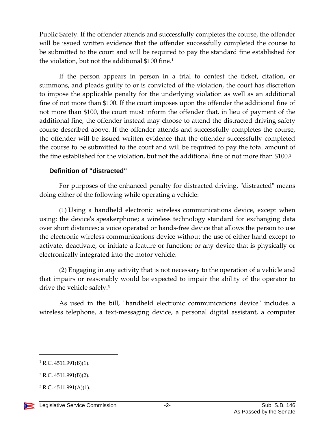Public Safety. If the offender attends and successfully completes the course, the offender will be issued written evidence that the offender successfully completed the course to be submitted to the court and will be required to pay the standard fine established for the violation, but not the additional  $$100$  fine.<sup>1</sup>

If the person appears in person in a trial to contest the ticket, citation, or summons, and pleads guilty to or is convicted of the violation, the court has discretion to impose the applicable penalty for the underlying violation as well as an additional fine of not more than \$100. If the court imposes upon the offender the additional fine of not more than \$100, the court must inform the offender that, in lieu of payment of the additional fine, the offender instead may choose to attend the distracted driving safety course described above. If the offender attends and successfully completes the course, the offender will be issued written evidence that the offender successfully completed the course to be submitted to the court and will be required to pay the total amount of the fine established for the violation, but not the additional fine of not more than \$100. 2

#### **Definition of "distracted"**

For purposes of the enhanced penalty for distracted driving, "distracted" means doing either of the following while operating a vehicle:

(1) Using a handheld electronic wireless communications device, except when using: the device's speakerphone; a wireless technology standard for exchanging data over short distances; a voice operated or hands-free device that allows the person to use the electronic wireless communications device without the use of either hand except to activate, deactivate, or initiate a feature or function; or any device that is physically or electronically integrated into the motor vehicle.

(2) Engaging in any activity that is not necessary to the operation of a vehicle and that impairs or reasonably would be expected to impair the ability of the operator to drive the vehicle safely.<sup>3</sup>

As used in the bill, "handheld electronic communications device" includes a wireless telephone, a text-messaging device, a personal digital assistant, a computer

 $\overline{a}$ 

 $1$  R.C. 4511.991(B)(1).

<sup>2</sup> R.C. 4511.991(B)(2).

 $3$  R.C. 4511.991(A)(1).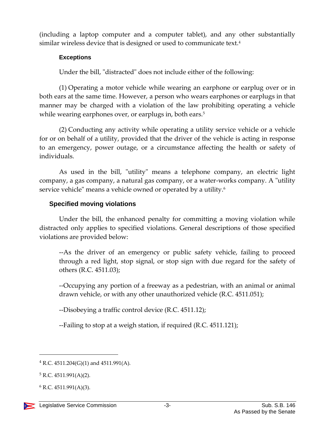(including a laptop computer and a computer tablet), and any other substantially similar wireless device that is designed or used to communicate text.<sup>4</sup>

#### **Exceptions**

Under the bill, "distracted" does not include either of the following:

(1) Operating a motor vehicle while wearing an earphone or earplug over or in both ears at the same time. However, a person who wears earphones or earplugs in that manner may be charged with a violation of the law prohibiting operating a vehicle while wearing earphones over, or earplugs in, both ears.<sup>5</sup>

(2) Conducting any activity while operating a utility service vehicle or a vehicle for or on behalf of a utility, provided that the driver of the vehicle is acting in response to an emergency, power outage, or a circumstance affecting the health or safety of individuals.

As used in the bill, "utility" means a telephone company, an electric light company, a gas company, a natural gas company, or a water-works company. A "utility service vehicle" means a vehicle owned or operated by a utility.<sup>6</sup>

#### **Specified moving violations**

Under the bill, the enhanced penalty for committing a moving violation while distracted only applies to specified violations. General descriptions of those specified violations are provided below:

--As the driver of an emergency or public safety vehicle, failing to proceed through a red light, stop signal, or stop sign with due regard for the safety of others (R.C. 4511.03);

--Occupying any portion of a freeway as a pedestrian, with an animal or animal drawn vehicle, or with any other unauthorized vehicle (R.C. 4511.051);

--Disobeying a traffic control device (R.C. 4511.12);

--Failing to stop at a weigh station, if required (R.C. 4511.121);

 $\overline{a}$ 

 $4$  R.C. 4511.204(G)(1) and 4511.991(A).

 $5 R.C. 4511.991(A)(2)$ .

 $6$  R.C. 4511.991(A)(3).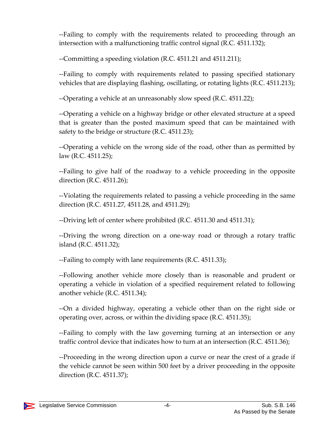--Failing to comply with the requirements related to proceeding through an intersection with a malfunctioning traffic control signal (R.C. 4511.132);

--Committing a speeding violation (R.C. 4511.21 and 4511.211);

--Failing to comply with requirements related to passing specified stationary vehicles that are displaying flashing, oscillating, or rotating lights (R.C. 4511.213);

--Operating a vehicle at an unreasonably slow speed (R.C. 4511.22);

--Operating a vehicle on a highway bridge or other elevated structure at a speed that is greater than the posted maximum speed that can be maintained with safety to the bridge or structure (R.C. 4511.23);

--Operating a vehicle on the wrong side of the road, other than as permitted by law (R.C. 4511.25);

--Failing to give half of the roadway to a vehicle proceeding in the opposite direction (R.C. 4511.26);

--Violating the requirements related to passing a vehicle proceeding in the same direction (R.C. 4511.27, 4511.28, and 4511.29);

--Driving left of center where prohibited (R.C. 4511.30 and 4511.31);

--Driving the wrong direction on a one-way road or through a rotary traffic island (R.C. 4511.32);

--Failing to comply with lane requirements (R.C. 4511.33);

--Following another vehicle more closely than is reasonable and prudent or operating a vehicle in violation of a specified requirement related to following another vehicle (R.C. 4511.34);

--On a divided highway, operating a vehicle other than on the right side or operating over, across, or within the dividing space (R.C. 4511.35);

--Failing to comply with the law governing turning at an intersection or any traffic control device that indicates how to turn at an intersection (R.C. 4511.36);

--Proceeding in the wrong direction upon a curve or near the crest of a grade if the vehicle cannot be seen within 500 feet by a driver proceeding in the opposite direction (R.C. 4511.37);

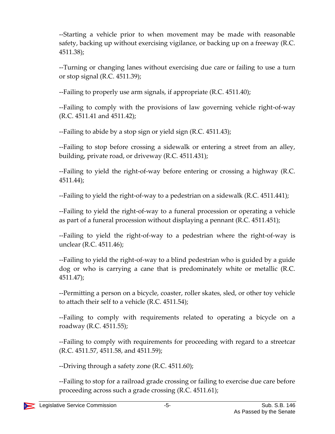--Starting a vehicle prior to when movement may be made with reasonable safety, backing up without exercising vigilance, or backing up on a freeway (R.C. 4511.38);

--Turning or changing lanes without exercising due care or failing to use a turn or stop signal (R.C. 4511.39);

--Failing to properly use arm signals, if appropriate (R.C. 4511.40);

--Failing to comply with the provisions of law governing vehicle right-of-way (R.C. 4511.41 and 4511.42);

--Failing to abide by a stop sign or yield sign (R.C. 4511.43);

--Failing to stop before crossing a sidewalk or entering a street from an alley, building, private road, or driveway (R.C. 4511.431);

--Failing to yield the right-of-way before entering or crossing a highway (R.C. 4511.44);

--Failing to yield the right-of-way to a pedestrian on a sidewalk (R.C. 4511.441);

--Failing to yield the right-of-way to a funeral procession or operating a vehicle as part of a funeral procession without displaying a pennant (R.C. 4511.451);

--Failing to yield the right-of-way to a pedestrian where the right-of-way is unclear (R.C. 4511.46);

--Failing to yield the right-of-way to a blind pedestrian who is guided by a guide dog or who is carrying a cane that is predominately white or metallic (R.C. 4511.47);

--Permitting a person on a bicycle, coaster, roller skates, sled, or other toy vehicle to attach their self to a vehicle (R.C. 4511.54);

--Failing to comply with requirements related to operating a bicycle on a roadway (R.C. 4511.55);

--Failing to comply with requirements for proceeding with regard to a streetcar (R.C. 4511.57, 4511.58, and 4511.59);

--Driving through a safety zone (R.C. 4511.60);

--Failing to stop for a railroad grade crossing or failing to exercise due care before proceeding across such a grade crossing (R.C. 4511.61);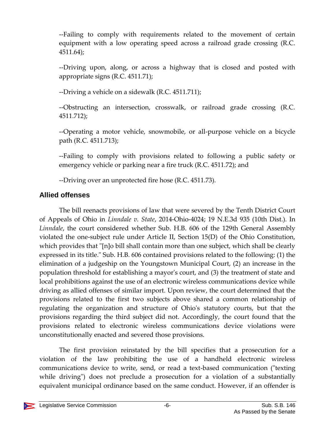--Failing to comply with requirements related to the movement of certain equipment with a low operating speed across a railroad grade crossing (R.C. 4511.64);

--Driving upon, along, or across a highway that is closed and posted with appropriate signs (R.C. 4511.71);

--Driving a vehicle on a sidewalk (R.C. 4511.711);

--Obstructing an intersection, crosswalk, or railroad grade crossing (R.C. 4511.712);

--Operating a motor vehicle, snowmobile, or all-purpose vehicle on a bicycle path (R.C. 4511.713);

--Failing to comply with provisions related to following a public safety or emergency vehicle or parking near a fire truck (R.C. 4511.72); and

--Driving over an unprotected fire hose (R.C. 4511.73).

# **Allied offenses**

The bill reenacts provisions of law that were severed by the Tenth District Court of Appeals of Ohio in *Linndale v. State*, 2014-Ohio-4024; 19 N.E.3d 935 (10th Dist.). In *Linndale*, the court considered whether Sub. H.B. 606 of the 129th General Assembly violated the one-subject rule under Article II, Section 15(D) of the Ohio Constitution, which provides that "[n]o bill shall contain more than one subject, which shall be clearly expressed in its title." Sub. H.B. 606 contained provisions related to the following: (1) the elimination of a judgeship on the Youngstown Municipal Court, (2) an increase in the population threshold for establishing a mayor's court, and (3) the treatment of state and local prohibitions against the use of an electronic wireless communications device while driving as allied offenses of similar import. Upon review, the court determined that the provisions related to the first two subjects above shared a common relationship of regulating the organization and structure of Ohio's statutory courts, but that the provisions regarding the third subject did not. Accordingly, the court found that the provisions related to electronic wireless communications device violations were unconstitutionally enacted and severed those provisions.

The first provision reinstated by the bill specifies that a prosecution for a violation of the law prohibiting the use of a handheld electronic wireless communications device to write, send, or read a text-based communication ("texting while driving") does not preclude a prosecution for a violation of a substantially equivalent municipal ordinance based on the same conduct. However, if an offender is